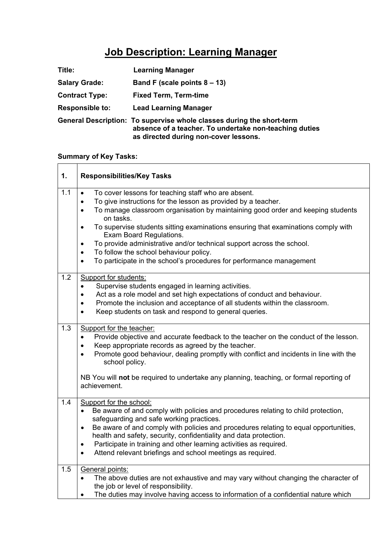## **Job Description: Learning Manager**

| Title:                 | <b>Learning Manager</b>                                                                                                                                                  |
|------------------------|--------------------------------------------------------------------------------------------------------------------------------------------------------------------------|
| <b>Salary Grade:</b>   | Band F (scale points $8 - 13$ )                                                                                                                                          |
| <b>Contract Type:</b>  | <b>Fixed Term, Term-time</b>                                                                                                                                             |
| <b>Responsible to:</b> | <b>Lead Learning Manager</b>                                                                                                                                             |
|                        | General Description: To supervise whole classes during the short-term<br>absence of a teacher. To undertake non-teaching duties<br>as directed during non-cover lessons. |

## **Summary of Key Tasks:**

| 1.  | <b>Responsibilities/Key Tasks</b>                                                                                                                                                                                                                                                                                                                                                                                                                                                                                                                                                                                          |
|-----|----------------------------------------------------------------------------------------------------------------------------------------------------------------------------------------------------------------------------------------------------------------------------------------------------------------------------------------------------------------------------------------------------------------------------------------------------------------------------------------------------------------------------------------------------------------------------------------------------------------------------|
| 1.1 | To cover lessons for teaching staff who are absent.<br>$\bullet$<br>To give instructions for the lesson as provided by a teacher.<br>$\bullet$<br>To manage classroom organisation by maintaining good order and keeping students<br>$\bullet$<br>on tasks.<br>To supervise students sitting examinations ensuring that examinations comply with<br>$\bullet$<br>Exam Board Regulations.<br>To provide administrative and/or technical support across the school.<br>$\bullet$<br>To follow the school behaviour policy.<br>$\bullet$<br>To participate in the school's procedures for performance management<br>$\bullet$ |
| 1.2 | <b>Support for students:</b><br>Supervise students engaged in learning activities.<br>$\bullet$<br>Act as a role model and set high expectations of conduct and behaviour.<br>٠<br>Promote the inclusion and acceptance of all students within the classroom.<br>٠<br>Keep students on task and respond to general queries.<br>$\bullet$                                                                                                                                                                                                                                                                                   |
| 1.3 | Support for the teacher:<br>Provide objective and accurate feedback to the teacher on the conduct of the lesson.<br>$\bullet$<br>Keep appropriate records as agreed by the teacher.<br>$\bullet$<br>Promote good behaviour, dealing promptly with conflict and incidents in line with the<br>$\bullet$<br>school policy.<br>NB You will not be required to undertake any planning, teaching, or formal reporting of<br>achievement.                                                                                                                                                                                        |
| 1.4 | Support for the school:<br>Be aware of and comply with policies and procedures relating to child protection,<br>$\bullet$<br>safeguarding and safe working practices.<br>Be aware of and comply with policies and procedures relating to equal opportunities,<br>$\bullet$<br>health and safety, security, confidentiality and data protection.<br>Participate in training and other learning activities as required.<br>$\bullet$<br>Attend relevant briefings and school meetings as required.<br>$\bullet$                                                                                                              |
| 1.5 | General points:<br>The above duties are not exhaustive and may vary without changing the character of<br>$\bullet$<br>the job or level of responsibility.<br>The duties may involve having access to information of a confidential nature which                                                                                                                                                                                                                                                                                                                                                                            |